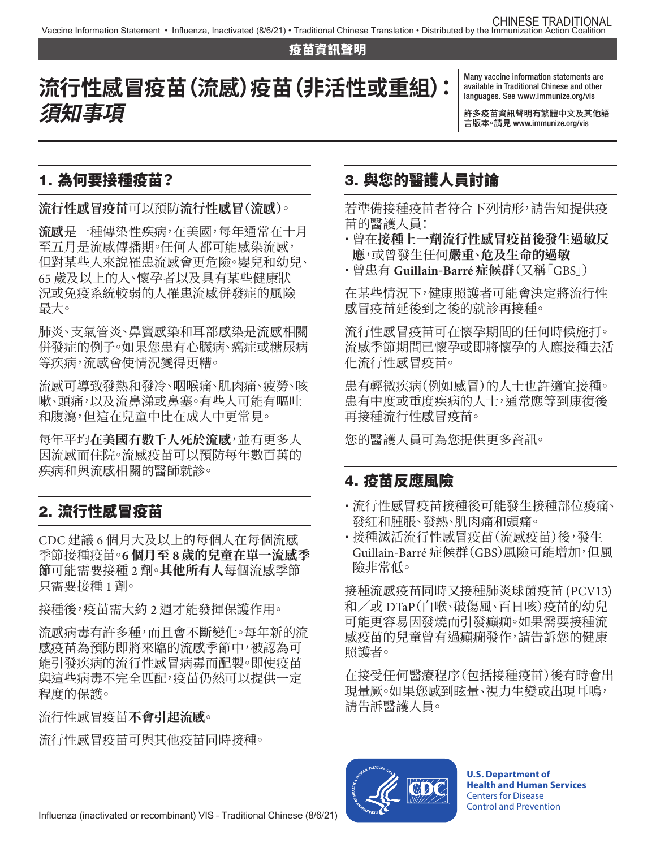#### 疫苗資訊聲明

**流行性感冒疫苗(流感)疫苗(非活性或重組): 須知事項**

Many vaccine information statements are available in Traditional Chinese and other languages. See [www.immunize.org/vis](http://www.immunize.org/vis)

許多疫苗資訊聲明有繁體中文及其他語 言版本。請見 [www.immunize.org/vis](http://www.immunize.org/vis)

### 1. 為何要接種疫苗?

#### **流行性感冒疫苗**可以預防**流行性感冒(流感)**。

**流感**是一種傳染性疾病,在美國,每年通常在十月 至五月是流感傳播期。任何人都可能感染流感, 但對某些人來說罹患流感會更危險。嬰兒和幼兒、 65 歲及以上的人、懷孕者以及具有某些健康狀 況或免疫系統較弱的人罹患流感併發症的風險 最大。

肺炎、支氣管炎、鼻竇感染和耳部感染是流感相關 併發症的例子。如果您患有心臟病、癌症或糖尿病 等疾病,流感會使情況變得更糟。

流感可導致發熱和發冷、咽喉痛、肌肉痛、疲勞、咳 嗽、頭痛,以及流鼻涕或鼻塞。有些人可能有嘔吐 和腹瀉,但這在兒童中比在成人中更常見。

每年平均**在美國有數千人死於流感**,並有更多人 因流感而住院。流感疫苗可以預防每年數百萬的 疾病和與流感相關的醫師就診。

# 2. 流行性感冒疫苗

CDC 建議 6 個月大及以上的每個人在每個流感 季節接種疫苗。**6 個月至 8 歲的兒童在單一流感季 節**可能需要接種 2 劑。**其他所有人**每個流感季節 只需要接種 1 劑。

接種後,疫苗需大約 2 週才能發揮保護作用。

流感病毒有許多種,而且會不斷變化。每年新的流 感疫苗為預防即將來臨的流感季節中,被認為可 能引發疾病的流行性感冒病毒而配製。即使疫苗 與這些病毒不完全匹配,疫苗仍然可以提供一定 程度的保護。

流行性感冒疫苗**不會引起流感**。

流行性感冒疫苗可與其他疫苗同時接種。

## 3. 與您的醫護人員討論

若準備接種疫苗者符合下列情形,請告知提供疫 苗的醫護人員:

- 曾在**接種上一劑流行性感冒疫苗後發生過敏反 應**,或曾發生任何**嚴重、危及生命的過敏**
- 曾患有 **Guillain-Barré 症候群**(又稱「GBS」)

在某些情況下,健康照護者可能會決定將流行性 感冒疫苗延後到之後的就診再接種。

流行性感冒疫苗可在懷孕期間的任何時候施打。 流感季節期間已懷孕或即將懷孕的人應接種去活 化流行性感冒疫苗。

患有輕微疾病(例如感冒)的人士也許適宜接種。 患有中度或重度疾病的人士,通常應等到康復後 再接種流行性感冒疫苗。

您的醫護人員可為您提供更多資訊。

#### 4. 疫苗反應風險

- 流行性感冒疫苗接種後可能發生接種部位痠痛、 發紅和腫脹、發熱、肌肉痛和頭痛。
- 接種滅活流行性感冒疫苗(流感疫苗)後,發生 Guillain-Barré 症候群(GBS)風險可能增加,但風 險非常低。

接種流感疫苗同時又接種肺炎球菌疫苗 (PCV13) 和/或 DTaP(白喉、破傷風、百日咳)疫苗的幼兒 可能更容易因發燒而引發癲癇。如果需要接種流 感疫苗的兒童曾有過癲癇發作,請告訴您的健康 照護者。

在接受任何醫療程序(包括接種疫苗)後有時會出 現暈厥。如果您感到眩暈、視力生變或出現耳鳴, 請告訴醫護人員。